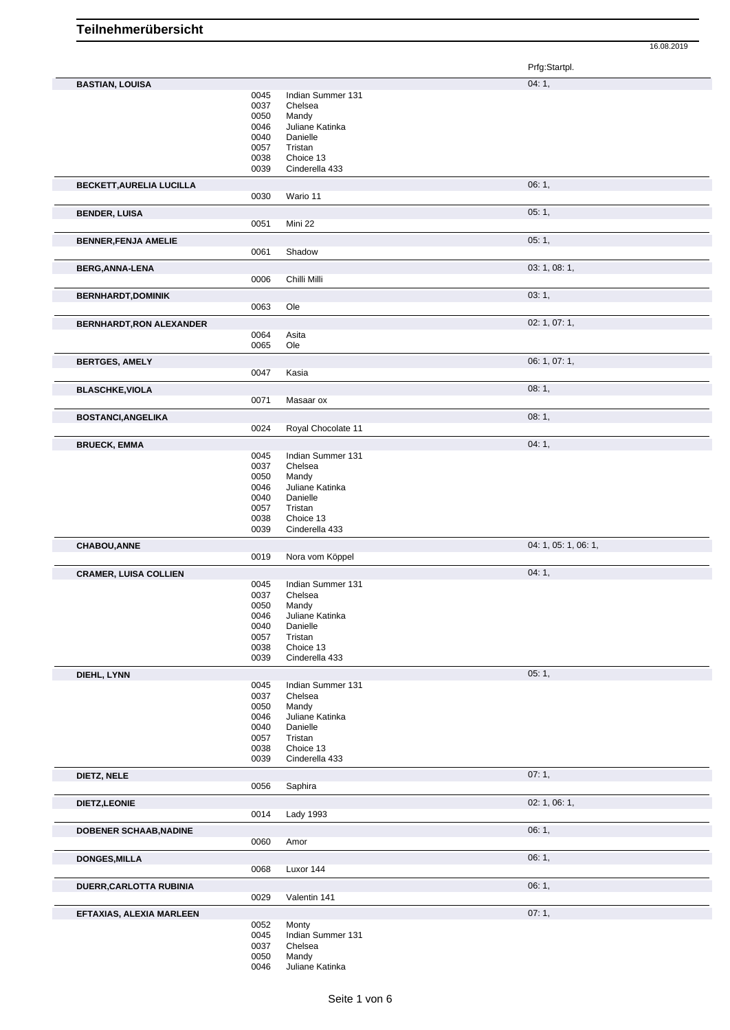|                                 |              |                            | Prfg:Startpl.        |
|---------------------------------|--------------|----------------------------|----------------------|
| <b>BASTIAN, LOUISA</b>          |              |                            | 04:1,                |
|                                 | 0045         | Indian Summer 131          |                      |
|                                 | 0037         | Chelsea                    |                      |
|                                 | 0050         | Mandy                      |                      |
|                                 | 0046         | Juliane Katinka            |                      |
|                                 | 0040         | Danielle                   |                      |
|                                 | 0057         | Tristan                    |                      |
|                                 | 0038         | Choice 13                  |                      |
|                                 | 0039         | Cinderella 433             |                      |
|                                 |              |                            | 06:1,                |
| <b>BECKETT, AURELIA LUCILLA</b> | 0030         | Wario 11                   |                      |
|                                 |              |                            |                      |
| <b>BENDER, LUISA</b>            |              |                            | 05:1,                |
|                                 | 0051         | Mini 22                    |                      |
| <b>BENNER, FENJA AMELIE</b>     |              |                            | 05:1,                |
|                                 | 0061         | Shadow                     |                      |
|                                 |              |                            |                      |
| <b>BERG, ANNA-LENA</b>          |              |                            | 03: 1, 08: 1,        |
|                                 | 0006         | Chilli Milli               |                      |
| <b>BERNHARDT,DOMINIK</b>        |              |                            | 03:1,                |
|                                 | 0063         | Ole                        |                      |
|                                 |              |                            |                      |
| <b>BERNHARDT, RON ALEXANDER</b> |              |                            | 02: 1, 07: 1,        |
|                                 | 0064<br>0065 | Asita<br>Ole               |                      |
|                                 |              |                            |                      |
| <b>BERTGES, AMELY</b>           |              |                            | 06: 1, 07: 1,        |
|                                 | 0047         | Kasia                      |                      |
| <b>BLASCHKE, VIOLA</b>          |              |                            | 08:1,                |
|                                 | 0071         | Masaar ox                  |                      |
|                                 |              |                            |                      |
| <b>BOSTANCI, ANGELIKA</b>       |              |                            | 08:1,                |
|                                 | 0024         | Royal Chocolate 11         |                      |
| <b>BRUECK, EMMA</b>             |              |                            | 04:1,                |
|                                 | 0045         | Indian Summer 131          |                      |
|                                 | 0037         | Chelsea                    |                      |
|                                 | 0050         | Mandy                      |                      |
|                                 | 0046         | Juliane Katinka            |                      |
|                                 | 0040         | Danielle                   |                      |
|                                 | 0057         | Tristan                    |                      |
|                                 | 0038         | Choice 13                  |                      |
|                                 | 0039         | Cinderella 433             |                      |
| <b>CHABOU, ANNE</b>             |              |                            | 04: 1, 05: 1, 06: 1, |
|                                 | 0019         | Nora vom Köppel            |                      |
| <b>CRAMER, LUISA COLLIEN</b>    |              |                            | 04:1,                |
|                                 | 0045         | Indian Summer 131          |                      |
|                                 | 0037         | Chelsea                    |                      |
|                                 | 0050         | Mandy                      |                      |
|                                 | 0046         | Juliane Katinka            |                      |
|                                 | 0040         | Danielle                   |                      |
|                                 |              |                            |                      |
|                                 | 0057         | Tristan                    |                      |
|                                 | 0038         | Choice 13                  |                      |
|                                 | 0039         | Cinderella 433             |                      |
|                                 |              |                            |                      |
| DIEHL, LYNN                     |              | Indian Summer 131          | 05:1,                |
|                                 | 0045<br>0037 | Chelsea                    |                      |
|                                 | 0050         | Mandy                      |                      |
|                                 | 0046         | Juliane Katinka            |                      |
|                                 | 0040         | Danielle                   |                      |
|                                 | 0057         | Tristan                    |                      |
|                                 | 0038         | Choice 13                  |                      |
|                                 | 0039         | Cinderella 433             |                      |
| DIETZ, NELE                     |              |                            | 07:1,                |
|                                 | 0056         | Saphira                    |                      |
|                                 |              |                            |                      |
| DIETZ, LEONIE                   |              |                            | 02: 1, 06: 1,        |
|                                 | 0014         | Lady 1993                  |                      |
| <b>DOBENER SCHAAB, NADINE</b>   |              |                            | 06:1,                |
|                                 | 0060         | Amor                       |                      |
|                                 |              |                            |                      |
| <b>DONGES, MILLA</b>            |              |                            | 06:1,                |
|                                 | 0068         | Luxor 144                  |                      |
| DUERR, CARLOTTA RUBINIA         |              |                            | 06:1,                |
|                                 | 0029         | Valentin 141               |                      |
|                                 |              |                            |                      |
| EFTAXIAS, ALEXIA MARLEEN        |              |                            | 07:1,                |
|                                 | 0052<br>0045 | Monty<br>Indian Summer 131 |                      |
|                                 | 0037         | Chelsea                    |                      |
|                                 | 0050<br>0046 | Mandy<br>Juliane Katinka   |                      |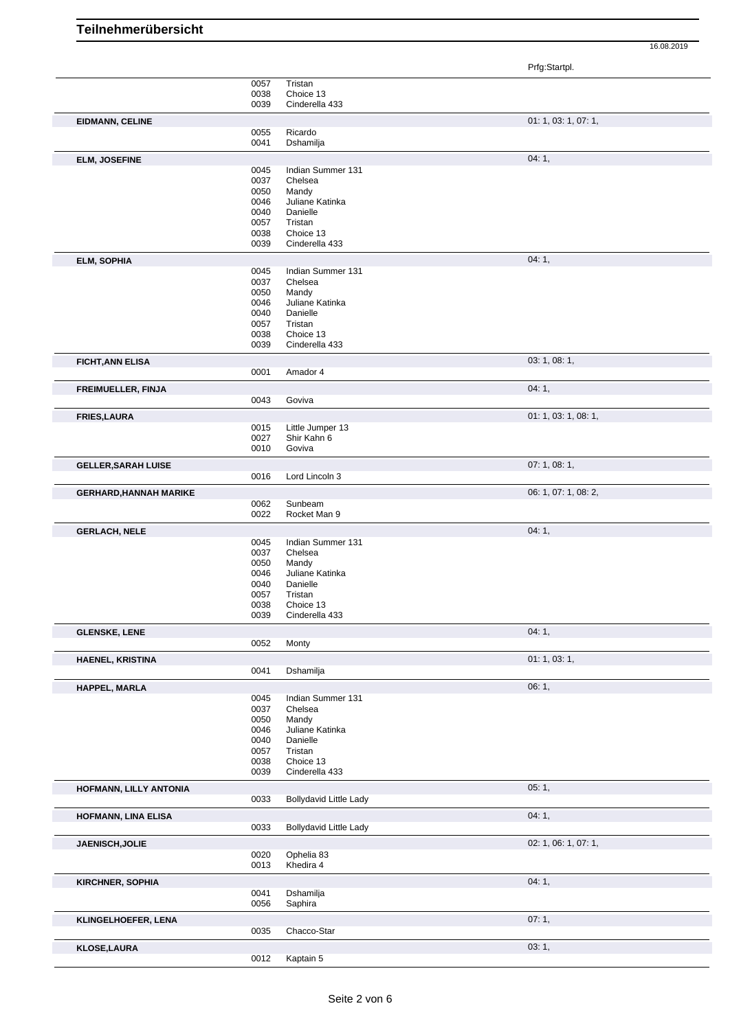**Teilnehmerübersicht**

Prfg:Startpl.

|                               | 0057 | Tristan                       |                      |
|-------------------------------|------|-------------------------------|----------------------|
|                               | 0038 | Choice 13                     |                      |
|                               | 0039 |                               |                      |
|                               |      | Cinderella 433                |                      |
| <b>EIDMANN, CELINE</b>        |      |                               | 01: 1, 03: 1, 07: 1, |
|                               | 0055 | Ricardo                       |                      |
|                               |      | Dshamilja                     |                      |
|                               | 0041 |                               |                      |
| <b>ELM, JOSEFINE</b>          |      |                               | 04:1,                |
|                               | 0045 | Indian Summer 131             |                      |
|                               | 0037 | Chelsea                       |                      |
|                               |      |                               |                      |
|                               | 0050 | Mandy                         |                      |
|                               | 0046 | Juliane Katinka               |                      |
|                               | 0040 | Danielle                      |                      |
|                               | 0057 | Tristan                       |                      |
|                               | 0038 | Choice 13                     |                      |
|                               | 0039 | Cinderella 433                |                      |
|                               |      |                               |                      |
| <b>ELM, SOPHIA</b>            |      |                               | 04:1,                |
|                               | 0045 | Indian Summer 131             |                      |
|                               | 0037 | Chelsea                       |                      |
|                               | 0050 | Mandy                         |                      |
|                               | 0046 | Juliane Katinka               |                      |
|                               | 0040 | Danielle                      |                      |
|                               | 0057 | Tristan                       |                      |
|                               |      |                               |                      |
|                               | 0038 | Choice 13                     |                      |
|                               | 0039 | Cinderella 433                |                      |
| <b>FICHT, ANN ELISA</b>       |      |                               | 03: 1, 08: 1,        |
|                               | 0001 | Amador 4                      |                      |
|                               |      |                               |                      |
| <b>FREIMUELLER, FINJA</b>     |      |                               | 04:1,                |
|                               | 0043 | Goviva                        |                      |
|                               |      |                               |                      |
| <b>FRIES, LAURA</b>           |      |                               | 01: 1, 03: 1, 08: 1, |
|                               | 0015 | Little Jumper 13              |                      |
|                               | 0027 | Shir Kahn 6                   |                      |
|                               | 0010 | Goviva                        |                      |
|                               |      |                               |                      |
| <b>GELLER, SARAH LUISE</b>    |      |                               | 07: 1, 08: 1,        |
|                               | 0016 | Lord Lincoln 3                |                      |
| <b>GERHARD, HANNAH MARIKE</b> |      |                               | 06: 1, 07: 1, 08: 2, |
|                               | 0062 | Sunbeam                       |                      |
|                               | 0022 | Rocket Man 9                  |                      |
|                               |      |                               |                      |
| <b>GERLACH, NELE</b>          |      |                               | 04:1,                |
|                               | 0045 | Indian Summer 131             |                      |
|                               | 0037 | Chelsea                       |                      |
|                               | 0050 | Mandy                         |                      |
|                               |      |                               |                      |
|                               | 0046 | Juliane Katinka               |                      |
|                               | 0040 | Danielle                      |                      |
|                               | 0057 | Tristan                       |                      |
|                               | 0038 | Choice 13                     |                      |
|                               | 0039 | Cinderella 433                |                      |
|                               |      |                               |                      |
| <b>GLENSKE, LENE</b>          |      |                               | 04:1,                |
|                               | 0052 | Monty                         |                      |
| <b>HAENEL, KRISTINA</b>       |      |                               | 01: 1, 03: 1,        |
|                               | 0041 | Dshamilja                     |                      |
|                               |      |                               |                      |
| HAPPEL, MARLA                 |      |                               | 06:1,                |
|                               | 0045 | Indian Summer 131             |                      |
|                               | 0037 | Chelsea                       |                      |
|                               | 0050 | Mandy                         |                      |
|                               | 0046 | Juliane Katinka               |                      |
|                               | 0040 | Danielle                      |                      |
|                               | 0057 | Tristan                       |                      |
|                               |      | Choice 13                     |                      |
|                               | 0038 |                               |                      |
|                               | 0039 | Cinderella 433                |                      |
| HOFMANN, LILLY ANTONIA        |      |                               | 05:1,                |
|                               | 0033 | <b>Bollydavid Little Lady</b> |                      |
|                               |      |                               |                      |
| <b>HOFMANN, LINA ELISA</b>    |      |                               | 04:1,                |
|                               | 0033 | Bollydavid Little Lady        |                      |
|                               |      |                               |                      |
| JAENISCH, JOLIE               |      |                               | 02: 1, 06: 1, 07: 1, |
|                               | 0020 | Ophelia 83                    |                      |
|                               | 0013 | Khedira 4                     |                      |
|                               |      |                               |                      |
| <b>KIRCHNER, SOPHIA</b>       |      |                               | 04:1,                |
|                               | 0041 | Dshamilja                     |                      |
|                               | 0056 | Saphira                       |                      |
| KLINGELHOEFER, LENA           |      |                               | 07:1,                |
|                               | 0035 | Chacco-Star                   |                      |
|                               |      |                               |                      |
| <b>KLOSE, LAURA</b>           |      |                               | 03:1,                |
|                               | 0012 | Kaptain 5                     |                      |
|                               |      |                               |                      |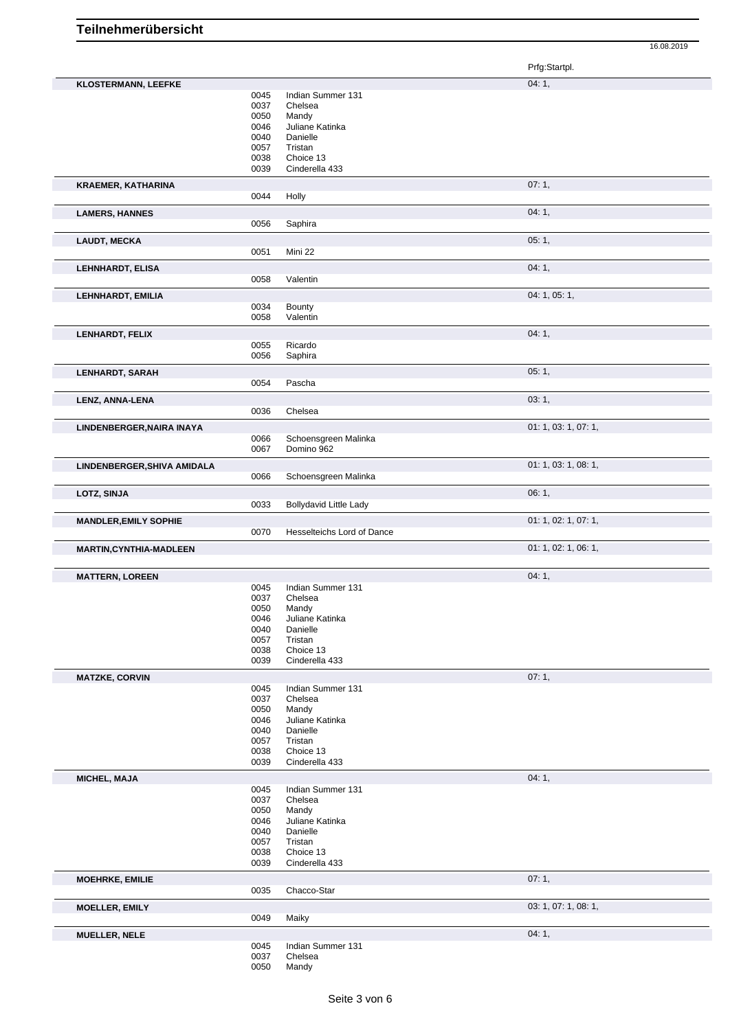|                                |              |                               | Prfg:Startpl.        |
|--------------------------------|--------------|-------------------------------|----------------------|
| <b>KLOSTERMANN, LEEFKE</b>     |              |                               | 04:1,                |
|                                | 0045         | Indian Summer 131             |                      |
|                                | 0037         | Chelsea                       |                      |
|                                | 0050         | Mandy                         |                      |
|                                | 0046         | Juliane Katinka               |                      |
|                                | 0040         | Danielle                      |                      |
|                                | 0057         | Tristan                       |                      |
|                                | 0038         | Choice 13                     |                      |
|                                | 0039         | Cinderella 433                |                      |
| <b>KRAEMER, KATHARINA</b>      |              |                               | 07:1,                |
|                                | 0044         | Holly                         |                      |
| <b>LAMERS, HANNES</b>          |              |                               | 04:1,                |
|                                | 0056         | Saphira                       |                      |
| <b>LAUDT, MECKA</b>            |              |                               | 05:1,                |
|                                | 0051         | Mini 22                       |                      |
|                                |              |                               |                      |
| LEHNHARDT, ELISA               |              |                               | 04: 1,               |
|                                | 0058         | Valentin                      |                      |
| LEHNHARDT, EMILIA              |              |                               | 04: 1, 05: 1,        |
|                                | 0034         | Bounty                        |                      |
|                                | 0058         | Valentin                      |                      |
| LENHARDT, FELIX                |              |                               | 04:1,                |
|                                | 0055         | Ricardo                       |                      |
|                                | 0056         | Saphira                       |                      |
| <b>LENHARDT, SARAH</b>         |              |                               | 05:1,                |
|                                | 0054         | Pascha                        |                      |
|                                |              |                               |                      |
| LENZ, ANNA-LENA                |              |                               | 03:1,                |
|                                | 0036         | Chelsea                       |                      |
| LINDENBERGER, NAIRA INAYA      |              |                               | 01: 1, 03: 1, 07: 1, |
|                                | 0066         | Schoensgreen Malinka          |                      |
|                                | 0067         | Domino 962                    |                      |
| LINDENBERGER, SHIVA AMIDALA    |              |                               | 01: 1, 03: 1, 08: 1, |
|                                | 0066         | Schoensgreen Malinka          |                      |
| LOTZ, SINJA                    |              |                               | 06:1,                |
|                                | 0033         | <b>Bollydavid Little Lady</b> |                      |
|                                |              |                               |                      |
| <b>MANDLER, EMILY SOPHIE</b>   |              |                               | 01: 1, 02: 1, 07: 1, |
|                                |              |                               |                      |
|                                | 0070         | Hesselteichs Lord of Dance    |                      |
| <b>MARTIN, CYNTHIA-MADLEEN</b> |              |                               | 01: 1, 02: 1, 06: 1, |
|                                |              |                               |                      |
| <b>MATTERN, LOREEN</b>         |              |                               | 04:1,                |
|                                | 0045         | Indian Summer 131             |                      |
|                                | 0037         | Chelsea                       |                      |
|                                | <b>0050</b>  | Mandy                         |                      |
|                                | 0046         | Juliane Katinka               |                      |
|                                | 0040<br>0057 | Danielle<br>Tristan           |                      |
|                                | 0038         | Choice 13                     |                      |
|                                | 0039         | Cinderella 433                |                      |
|                                |              |                               |                      |
| <b>MATZKE, CORVIN</b>          | 0045         | Indian Summer 131             | 07:1,                |
|                                | 0037         | Chelsea                       |                      |
|                                | 0050         | Mandy                         |                      |
|                                | 0046         | Juliane Katinka               |                      |
|                                | 0040         | Danielle                      |                      |
|                                | 0057         | Tristan                       |                      |
|                                | 0038         | Choice 13                     |                      |
|                                | 0039         | Cinderella 433                |                      |
| MICHEL, MAJA                   |              |                               | 04: 1,               |
|                                | 0045         | Indian Summer 131             |                      |
|                                | 0037         | Chelsea                       |                      |
|                                | 0050         | Mandy                         |                      |
|                                | 0046         | Juliane Katinka<br>Danielle   |                      |
|                                | 0040<br>0057 | Tristan                       |                      |
|                                | 0038         | Choice 13                     |                      |
|                                | 0039         | Cinderella 433                |                      |
|                                |              |                               | 07:1,                |
| <b>MOEHRKE, EMILIE</b>         | 0035         | Chacco-Star                   |                      |
|                                |              |                               |                      |
| <b>MOELLER, EMILY</b>          |              |                               | 03: 1, 07: 1, 08: 1, |
|                                | 0049         | Maiky                         |                      |
| <b>MUELLER, NELE</b>           |              |                               | 04:1,                |
|                                | 0045         | Indian Summer 131             |                      |
|                                | 0037<br>0050 | Chelsea<br>Mandy              |                      |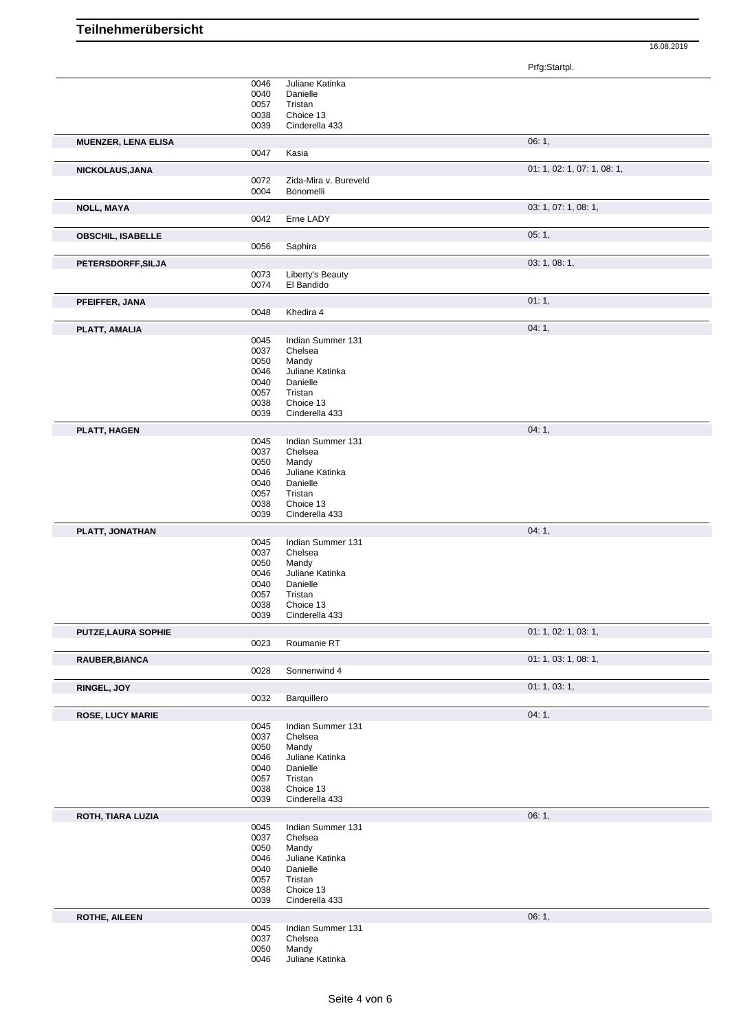Prfg:Startpl.

|                            | 0046         | Juliane Katinka          |                             |
|----------------------------|--------------|--------------------------|-----------------------------|
|                            | 0040         | Danielle                 |                             |
|                            | 0057         | Tristan                  |                             |
|                            | 0038         | Choice 13                |                             |
|                            | 0039         | Cinderella 433           |                             |
| <b>MUENZER, LENA ELISA</b> |              |                          | 06:1,                       |
|                            | 0047         | Kasia                    |                             |
|                            |              |                          |                             |
| NICKOLAUS, JANA            |              |                          | 01: 1, 02: 1, 07: 1, 08: 1, |
|                            | 0072         | Zida-Mira v. Bureveld    |                             |
|                            | 0004         | Bonomelli                |                             |
| <b>NOLL, MAYA</b>          |              |                          | 03: 1, 07: 1, 08: 1,        |
|                            | 0042         | Erne LADY                |                             |
|                            |              |                          |                             |
| <b>OBSCHIL, ISABELLE</b>   |              |                          | 05:1,                       |
|                            | 0056         | Saphira                  |                             |
| PETERSDORFF, SILJA         |              |                          | 03: 1, 08: 1,               |
|                            | 0073         | Liberty's Beauty         |                             |
|                            | 0074         | El Bandido               |                             |
|                            |              |                          |                             |
| PFEIFFER, JANA             |              |                          | 01:1,                       |
|                            | 0048         | Khedira 4                |                             |
| PLATT, AMALIA              |              |                          | 04:1,                       |
|                            | 0045         | Indian Summer 131        |                             |
|                            | 0037         | Chelsea                  |                             |
|                            | 0050         | Mandy                    |                             |
|                            | 0046         | Juliane Katinka          |                             |
|                            | 0040         | Danielle                 |                             |
|                            | 0057         | Tristan                  |                             |
|                            | 0038         | Choice 13                |                             |
|                            | 0039         | Cinderella 433           |                             |
|                            |              |                          |                             |
| PLATT, HAGEN               |              |                          | 04:1,                       |
|                            | 0045         | Indian Summer 131        |                             |
|                            | 0037         | Chelsea                  |                             |
|                            | 0050         | Mandy<br>Juliane Katinka |                             |
|                            | 0046<br>0040 | Danielle                 |                             |
|                            | 0057         | Tristan                  |                             |
|                            | 0038         | Choice 13                |                             |
|                            | 0039         | Cinderella 433           |                             |
|                            |              |                          |                             |
| PLATT, JONATHAN            |              |                          | 04:1,                       |
|                            | 0045         | Indian Summer 131        |                             |
|                            | 0037         | Chelsea                  |                             |
|                            | 0050         | Mandy                    |                             |
|                            | 0046         | Juliane Katinka          |                             |
|                            | 0040         | Danielle                 |                             |
|                            | 0057         | Tristan                  |                             |
|                            | 0038         | Choice 13                |                             |
|                            | 0039         | Cinderella 433           |                             |
| PUTZE, LAURA SOPHIE        |              |                          | 01: 1, 02: 1, 03: 1,        |
|                            | 0023         | Roumanie RT              |                             |
|                            |              |                          | 01: 1, 03: 1, 08: 1,        |
| RAUBER, BIANCA             | 0028         |                          |                             |
|                            |              | Sonnenwind 4             |                             |
| RINGEL, JOY                |              |                          | 01: 1, 03: 1,               |
|                            | 0032         | Barquillero              |                             |
| <b>ROSE, LUCY MARIE</b>    |              |                          | 04:1,                       |
|                            | 0045         | Indian Summer 131        |                             |
|                            | 0037         | Chelsea                  |                             |
|                            | 0050         | Mandy                    |                             |
|                            | 0046         | Juliane Katinka          |                             |
|                            | 0040         | Danielle                 |                             |
|                            |              |                          |                             |
|                            | 0057         | Tristan                  |                             |
|                            | 0038         | Choice 13                |                             |
|                            | 0039         | Cinderella 433           |                             |
|                            |              |                          |                             |
| ROTH, TIARA LUZIA          |              |                          | 06:1,                       |
|                            | 0045         | Indian Summer 131        |                             |
|                            | 0037         | Chelsea                  |                             |
|                            | 0050         | Mandy                    |                             |
|                            | 0046         | Juliane Katinka          |                             |
|                            | 0040         | Danielle                 |                             |
|                            | 0057         | Tristan                  |                             |
|                            | 0038         | Choice 13                |                             |
|                            | 0039         | Cinderella 433           |                             |
| <b>ROTHE, AILEEN</b>       |              |                          | 06:1,                       |
|                            | 0045         | Indian Summer 131        |                             |
|                            | 0037         | Chelsea                  |                             |
|                            | 0050<br>0046 | Mandy<br>Juliane Katinka |                             |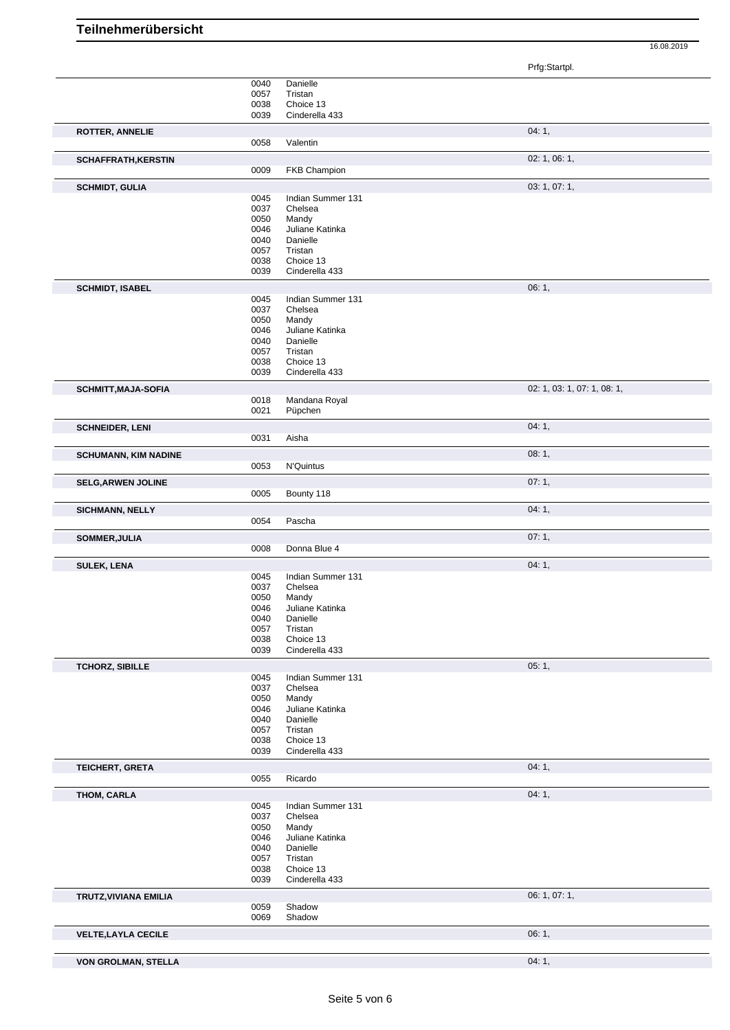|                              | 0040 | Danielle            |                             |
|------------------------------|------|---------------------|-----------------------------|
|                              | 0057 | Tristan             |                             |
|                              | 0038 | Choice 13           |                             |
|                              | 0039 | Cinderella 433      |                             |
|                              |      |                     |                             |
| <b>ROTTER, ANNELIE</b>       |      |                     | 04:1,                       |
|                              | 0058 | Valentin            |                             |
|                              |      |                     |                             |
| <b>SCHAFFRATH, KERSTIN</b>   |      |                     | 02: 1, 06: 1,               |
|                              |      |                     |                             |
|                              | 0009 | <b>FKB Champion</b> |                             |
| <b>SCHMIDT, GULIA</b>        |      |                     | 03: 1, 07: 1,               |
|                              |      |                     |                             |
|                              | 0045 | Indian Summer 131   |                             |
|                              | 0037 | Chelsea             |                             |
|                              | 0050 | Mandy               |                             |
|                              | 0046 | Juliane Katinka     |                             |
|                              | 0040 | Danielle            |                             |
|                              | 0057 | Tristan             |                             |
|                              | 0038 | Choice 13           |                             |
|                              | 0039 | Cinderella 433      |                             |
|                              |      |                     |                             |
| <b>SCHMIDT, ISABEL</b>       |      |                     | 06:1,                       |
|                              | 0045 | Indian Summer 131   |                             |
|                              | 0037 |                     |                             |
|                              |      | Chelsea             |                             |
|                              | 0050 | Mandy               |                             |
|                              | 0046 | Juliane Katinka     |                             |
|                              | 0040 | Danielle            |                             |
|                              | 0057 | Tristan             |                             |
|                              | 0038 | Choice 13           |                             |
|                              | 0039 | Cinderella 433      |                             |
|                              |      |                     |                             |
| <b>SCHMITT, MAJA-SOFIA</b>   |      |                     | 02: 1, 03: 1, 07: 1, 08: 1, |
|                              | 0018 | Mandana Royal       |                             |
|                              | 0021 | Püpchen             |                             |
|                              |      |                     |                             |
| <b>SCHNEIDER, LENI</b>       |      |                     | 04:1,                       |
|                              | 0031 | Aisha               |                             |
|                              |      |                     |                             |
| <b>SCHUMANN, KIM NADINE</b>  |      |                     | 08:1,                       |
|                              | 0053 | N'Quintus           |                             |
|                              |      |                     |                             |
| <b>SELG, ARWEN JOLINE</b>    |      |                     | 07:1,                       |
|                              | 0005 | Bounty 118          |                             |
|                              |      |                     |                             |
| <b>SICHMANN, NELLY</b>       |      |                     | 04:1,                       |
|                              |      |                     |                             |
|                              |      |                     |                             |
|                              | 0054 | Pascha              |                             |
| SOMMER, JULIA                |      |                     | 07:1,                       |
|                              | 0008 | Donna Blue 4        |                             |
|                              |      |                     |                             |
| <b>SULEK, LENA</b>           |      |                     | 04:1,                       |
|                              | 0045 | Indian Summer 131   |                             |
|                              | 0037 | Chelsea             |                             |
|                              |      |                     |                             |
|                              | 0050 | Mandy               |                             |
|                              | 0046 | Juliane Katinka     |                             |
|                              | 0040 | Danielle            |                             |
|                              | 0057 | Tristan             |                             |
|                              | 0038 | Choice 13           |                             |
|                              | 0039 | Cinderella 433      |                             |
|                              |      |                     |                             |
| <b>TCHORZ, SIBILLE</b>       |      |                     | 05:1,                       |
|                              | 0045 | Indian Summer 131   |                             |
|                              | 0037 | Chelsea             |                             |
|                              | 0050 | Mandy               |                             |
|                              | 0046 | Juliane Katinka     |                             |
|                              |      |                     |                             |
|                              | 0040 | Danielle            |                             |
|                              | 0057 | Tristan             |                             |
|                              | 0038 | Choice 13           |                             |
|                              | 0039 | Cinderella 433      |                             |
|                              |      |                     |                             |
| TEICHERT, GRETA              |      |                     | 04:1,                       |
|                              | 0055 | Ricardo             |                             |
| THOM, CARLA                  |      |                     | 04:1,                       |
|                              | 0045 | Indian Summer 131   |                             |
|                              |      |                     |                             |
|                              | 0037 | Chelsea             |                             |
|                              | 0050 | Mandy               |                             |
|                              | 0046 | Juliane Katinka     |                             |
|                              | 0040 | Danielle            |                             |
|                              | 0057 | Tristan             |                             |
|                              | 0038 | Choice 13           |                             |
|                              | 0039 | Cinderella 433      |                             |
|                              |      |                     |                             |
| <b>TRUTZ, VIVIANA EMILIA</b> |      |                     | 06: 1, 07: 1,               |
|                              | 0059 | Shadow              |                             |
|                              | 0069 | Shadow              |                             |
|                              |      |                     |                             |
| <b>VELTE, LAYLA CECILE</b>   |      |                     | 06:1,                       |
|                              |      |                     |                             |
| <b>VON GROLMAN, STELLA</b>   |      |                     | 04:1,                       |